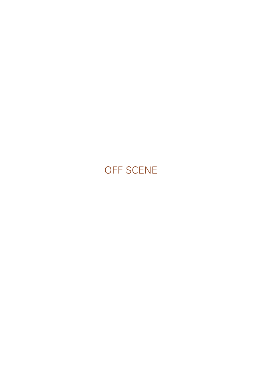## OFF SCENE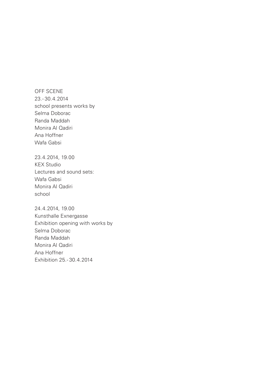OFF SCENE 23.- 30.4.2014 school presents works by Selma Doborac Randa Maddah Monira Al Qadiri Ana Hoffner Wafa Gabsi

23.4.2014, 19.00 KEX Studio Lectures and sound sets: Wafa Gabsi Monira Al Qadiri school

24.4.2014, 19.00 Kunsthalle Exnergasse Exhibition opening with works by Selma Doborac Randa Maddah Monira Al Qadiri Ana Hoffner Exhibition 25.- 30.4.2014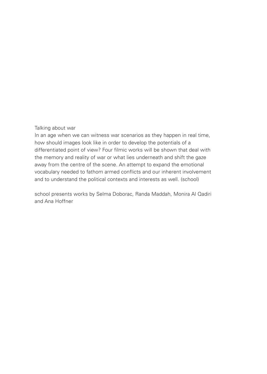## Talking about war

In an age when we can witness war scenarios as they happen in real time, how should images look like in order to develop the potentials of a differentiated point of view? Four filmic works will be shown that deal with the memory and reality of war or what lies underneath and shift the gaze away from the centre of the scene. An attempt to expand the emotional vocabulary needed to fathom armed conflicts and our inherent involvement and to understand the political contexts and interests as well. (school)

school presents works by Selma Doborac, Randa Maddah, Monira Al Qadiri and Ana Hoffner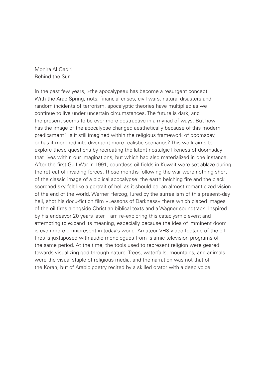Monira Al Qadiri Behind the Sun

In the past few years, »the apocalypse« has become a resurgent concept. With the Arab Spring, riots, financial crises, civil wars, natural disasters and random incidents of terrorism, apocalyptic theories have multiplied as we continue to live under uncertain circumstances. The future is dark, and the present seems to be ever more destructive in a myriad of ways. But how has the image of the apocalypse changed aesthetically because of this modern predicament? Is it still imagined within the religious framework of doomsday, or has it morphed into divergent more realistic scenarios? This work aims to explore these questions by recreating the latent nostalgic likeness of doomsday that lives within our imaginations, but which had also materialized in one instance. After the first Gulf War in 1991, countless oil fields in Kuwait were set ablaze during the retreat of invading forces. Those months following the war were nothing short of the classic image of a biblical apocalypse: the earth belching fire and the black scorched sky felt like a portrait of hell as it should be, an almost romanticized vision of the end of the world. Werner Herzog, lured by the surrealism of this present-day hell, shot his docu-fiction film »Lessons of Darkness« there which placed images of the oil fires alongside Christian biblical texts and a Wagner soundtrack. Inspired by his endeavor 20 years later, I am re-exploring this cataclysmic event and attempting to expand its meaning, especially because the idea of imminent doom is even more omnipresent in today's world. Amateur VHS video footage of the oil fires is juxtaposed with audio monologues from Islamic television programs of the same period. At the time, the tools used to represent religion were geared towards visualizing god through nature. Trees, waterfalls, mountains, and animals were the visual staple of religious media, and the narration was not that of the Koran, but of Arabic poetry recited by a skilled orator with a deep voice.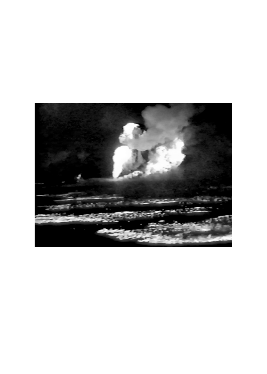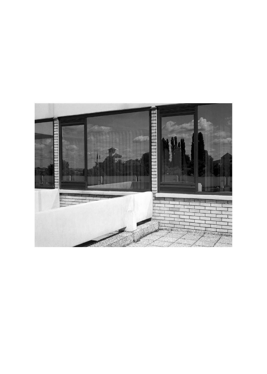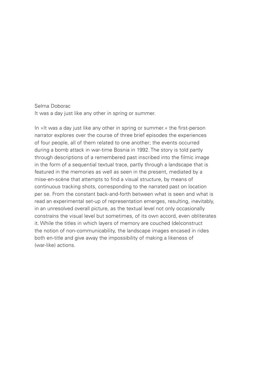## Selma Doborac

It was a day just like any other in spring or summer.

In »It was a day just like any other in spring or summer.« the first-person narrator explores over the course of three brief episodes the experiences of four people, all of them related to one another; the events occurred during a bomb attack in war-time Bosnia in 1992. The story is told partly through descriptions of a remembered past inscribed into the filmic image in the form of a sequential textual trace, partly through a landscape that is featured in the memories as well as seen in the present, mediated by a mise-en-scène that attempts to find a visual structure, by means of continuous tracking shots, corresponding to the narrated past on location per se. From the constant back-and-forth between what is seen and what is read an experimental set-up of representation emerges, resulting, inevitably, in an unresolved overall picture, as the textual level not only occasionally constrains the visual level but sometimes, of its own accord, even obliterates it. While the titles in which layers of memory are couched (de)construct the notion of non-communicability, the landscape images encased in rides both en-title and give away the impossibility of making a likeness of (war-like) actions.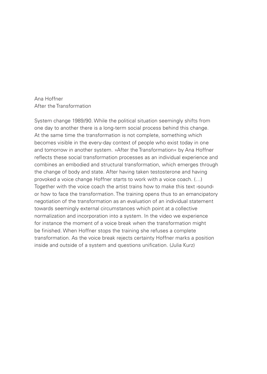Ana Hoffner After the Transformation

System change 1989/90. While the political situation seemingly shifts from one day to another there is a long-term social process behind this change. At the same time the transformation is not complete, something which becomes visible in the every-day context of people who exist today in one and tomorrow in another system. »After the Transformation« by Ana Hoffner reflects these social transformation processes as an individual experience and combines an embodied and structural transformation, which emerges through the change of body and state. After having taken testosterone and having provoked a voice change Hoffner starts to work with a voice coach. (…) Together with the voice coach the artist trains how to make this text ›sound‹ or how to face the transformation. The training opens thus to an emancipatory negotiation of the transformation as an evaluation of an individual statement towards seemingly external circumstances which point at a collective normalization and incorporation into a system. In the video we experience for instance the moment of a voice break when the transformation might be finished. When Hoffner stops the training she refuses a complete transformation. As the voice break rejects certainty Hoffner marks a position inside and outside of a system and questions unification. (Julia Kurz)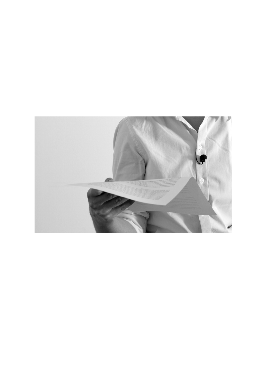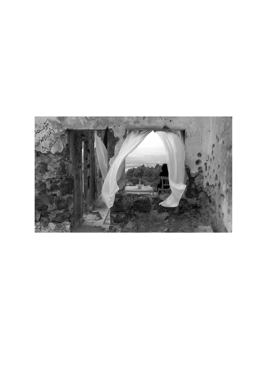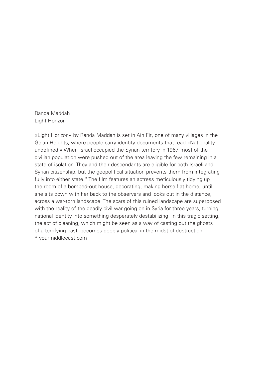Randa Maddah Light Horizon

»Light Horizon« by Randa Maddah is set in Ain Fit, one of many villages in the Golan Heights, where people carry identity documents that read »Nationality: undefined.« When Israel occupied the Syrian territory in 1967, most of the civilian population were pushed out of the area leaving the few remaining in a state of isolation. They and their descendants are eligible for both Israeli and Syrian citizenship, but the geopolitical situation prevents them from integrating fully into either state.\* The film features an actress meticulously tidying up the room of a bombed-out house, decorating, making herself at home, until she sits down with her back to the observers and looks out in the distance, across a war-torn landscape. The scars of this ruined landscape are superposed with the reality of the deadly civil war going on in Syria for three years, turning national identity into something desperately destabilizing. In this tragic setting, the act of cleaning, which might be seen as a way of casting out the ghosts of a terrifying past, becomes deeply political in the midst of destruction. \* yourmiddleeast.com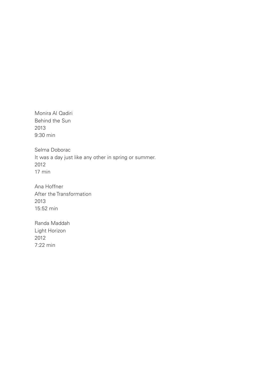Monira Al Qadiri Behind the Sun 2013 9:30 min

Selma Doborac It was a day just like any other in spring or summer. 2012 17 min

Ana Hoffner After the Transformation 2013 15:52 min

Randa Maddah Light Horizon 2012 7:22 min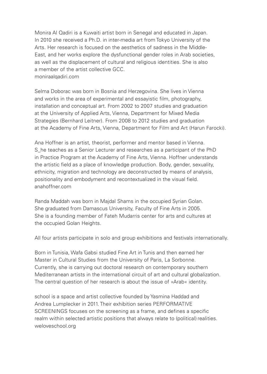Monira Al Qadiri is a Kuwaiti artist born in Senegal and educated in Japan. In 2010 she received a Ph.D. in inter-media art from Tokyo University of the Arts. Her research is focused on the aesthetics of sadness in the Middle-East, and her works explore the dysfunctional gender roles in Arab societies, as well as the displacement of cultural and religious identities. She is also a member of the artist collective GCC. moniraalqadiri.com

Selma Doborac was born in Bosnia and Herzegovina. She lives in Vienna and works in the area of experimental and essayistic film, photography, installation and conceptual art. From 2002 to 2007 studies and graduation at the University of Applied Arts, Vienna, Department for Mixed Media Strategies (Bernhard Leitner). From 2008 to 2012 studies and graduation at the Academy of Fine Arts, Vienna, Department for Film and Art (Harun Farocki).

Ana Hoffner is an artist, theorist, performer and mentor based in Vienna. S\_he teaches as a Senior Lecturer and researches as a participant of the PhD in Practice Program at the Academy of Fine Arts, Vienna. Hoffner understands the artistic field as a place of knowledge production. Body, gender, sexuality, ethnicity, migration and technology are deconstructed by means of analysis, positionality and embodyment and recontextualized in the visual field. anahoffner.com

Randa Maddah was born in Majdal Shams in the occupied Syrian Golan. She graduated from Damascus University, Faculty of Fine Arts in 2005. She is a founding member of Fateh Mudarris center for arts and cultures at the occupied Golan Heights.

All four artists participate in solo and group exhibitions and festivals internationally.

Born in Tunisia, Wafa Gabsi studied Fine Art in Tunis and then earned her Master in Cultural Studies from the University of Paris, La Sorbonne. Currently, she is carrying out doctoral research on contemporary southern Mediterranean artists in the international circuit of art and cultural globalization. The central question of her research is about the issue of »Arab« identity.

school is a space and artist collective founded by Yasmina Haddad and Andrea Lumplecker in 2011. Their exhibition series PERFORMATIVE SCREENINGS focuses on the screening as a frame, and defines a specific realm within selected artistic positions that always relate to (political) realities. weloveschool.org